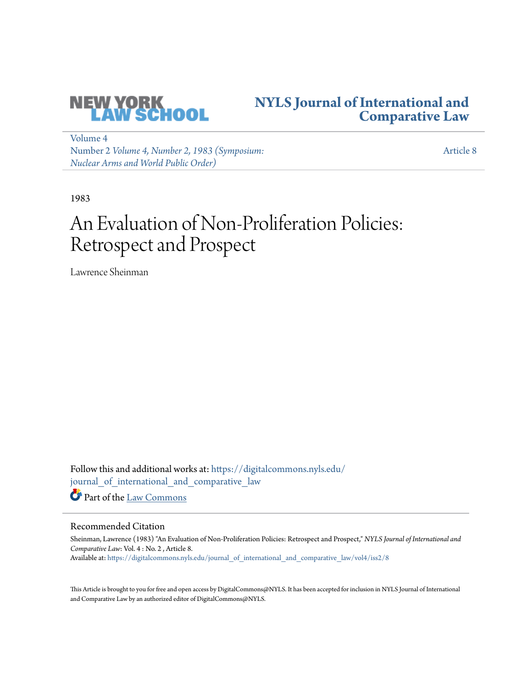

## **[NYLS Journal of International and](https://digitalcommons.nyls.edu/journal_of_international_and_comparative_law?utm_source=digitalcommons.nyls.edu%2Fjournal_of_international_and_comparative_law%2Fvol4%2Fiss2%2F8&utm_medium=PDF&utm_campaign=PDFCoverPages) [Comparative Law](https://digitalcommons.nyls.edu/journal_of_international_and_comparative_law?utm_source=digitalcommons.nyls.edu%2Fjournal_of_international_and_comparative_law%2Fvol4%2Fiss2%2F8&utm_medium=PDF&utm_campaign=PDFCoverPages)**

[Volume 4](https://digitalcommons.nyls.edu/journal_of_international_and_comparative_law/vol4?utm_source=digitalcommons.nyls.edu%2Fjournal_of_international_and_comparative_law%2Fvol4%2Fiss2%2F8&utm_medium=PDF&utm_campaign=PDFCoverPages) Number 2 *[Volume 4, Number 2, 1983 \(Symposium:](https://digitalcommons.nyls.edu/journal_of_international_and_comparative_law/vol4/iss2?utm_source=digitalcommons.nyls.edu%2Fjournal_of_international_and_comparative_law%2Fvol4%2Fiss2%2F8&utm_medium=PDF&utm_campaign=PDFCoverPages) [Nuclear Arms and World Public Order\)](https://digitalcommons.nyls.edu/journal_of_international_and_comparative_law/vol4/iss2?utm_source=digitalcommons.nyls.edu%2Fjournal_of_international_and_comparative_law%2Fvol4%2Fiss2%2F8&utm_medium=PDF&utm_campaign=PDFCoverPages)*

[Article 8](https://digitalcommons.nyls.edu/journal_of_international_and_comparative_law/vol4/iss2/8?utm_source=digitalcommons.nyls.edu%2Fjournal_of_international_and_comparative_law%2Fvol4%2Fiss2%2F8&utm_medium=PDF&utm_campaign=PDFCoverPages)

1983

# An Evaluation of Non-Proliferation Policies: Retrospect and Prospect

Lawrence Sheinman

Follow this and additional works at: [https://digitalcommons.nyls.edu/](https://digitalcommons.nyls.edu/journal_of_international_and_comparative_law?utm_source=digitalcommons.nyls.edu%2Fjournal_of_international_and_comparative_law%2Fvol4%2Fiss2%2F8&utm_medium=PDF&utm_campaign=PDFCoverPages) [journal\\_of\\_international\\_and\\_comparative\\_law](https://digitalcommons.nyls.edu/journal_of_international_and_comparative_law?utm_source=digitalcommons.nyls.edu%2Fjournal_of_international_and_comparative_law%2Fvol4%2Fiss2%2F8&utm_medium=PDF&utm_campaign=PDFCoverPages) Part of the [Law Commons](http://network.bepress.com/hgg/discipline/578?utm_source=digitalcommons.nyls.edu%2Fjournal_of_international_and_comparative_law%2Fvol4%2Fiss2%2F8&utm_medium=PDF&utm_campaign=PDFCoverPages)

### Recommended Citation

Sheinman, Lawrence (1983) "An Evaluation of Non-Proliferation Policies: Retrospect and Prospect," *NYLS Journal of International and Comparative Law*: Vol. 4 : No. 2 , Article 8. Available at: [https://digitalcommons.nyls.edu/journal\\_of\\_international\\_and\\_comparative\\_law/vol4/iss2/8](https://digitalcommons.nyls.edu/journal_of_international_and_comparative_law/vol4/iss2/8?utm_source=digitalcommons.nyls.edu%2Fjournal_of_international_and_comparative_law%2Fvol4%2Fiss2%2F8&utm_medium=PDF&utm_campaign=PDFCoverPages)

This Article is brought to you for free and open access by DigitalCommons@NYLS. It has been accepted for inclusion in NYLS Journal of International and Comparative Law by an authorized editor of DigitalCommons@NYLS.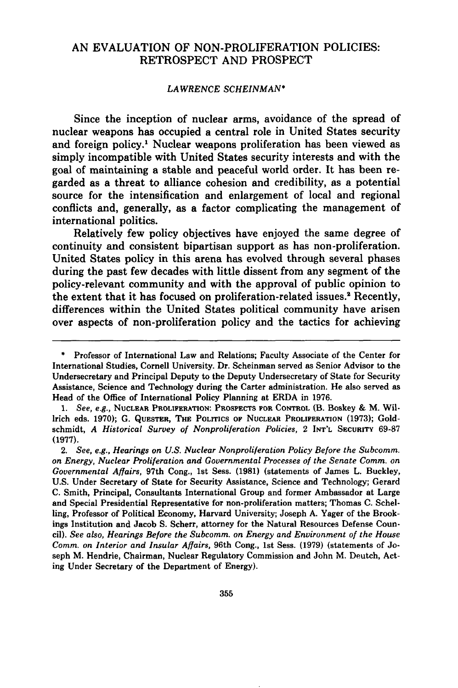### AN EVALUATION OF NON-PROLIFERATION POLICIES: RETROSPECT AND PROSPECT

#### *LAWRENCE SCHEINMAN\**

Since the inception of nuclear arms, avoidance of the spread of nuclear weapons has occupied a central role in United States security and foreign policy.1 Nuclear weapons proliferation has been viewed as simply incompatible with United States security interests and with the goal of maintaining a stable and peaceful world order. It has been regarded as a threat to alliance cohesion and credibility, as a potential source for the intensification and enlargement of local and regional conflicts and, generally, as a factor complicating the management of international politics.

Relatively few policy objectives have enjoyed the same degree of continuity and consistent bipartisan support as has non-proliferation. United States policy in this arena has evolved through several phases during the past few decades with little dissent from any segment of the policy-relevant community and with the approval of public opinion to the extent that it has focused on proliferation-related issues.' Recently, differences within the United States political community have arisen over aspects of non-proliferation policy and the tactics for achieving

**<sup>\*</sup>** Professor of International Law and Relations; Faculty Associate of the Center for International Studies, Cornell University. Dr. Scheinman served as Senior Advisor to the Undersecretary and Principal Deputy to the Deputy Undersecretary of State for Security Assistance, Science and Technology during the Carter administration. He also served as Head of the Office of International Policy Planning at ERDA in **1976.**

*<sup>1.</sup> See, e.g.,* NUCLEAR PROLIFERATION: PROSPECTS FOR CONTROL (B. Boskey **&** M. Willrich eds. **1970); G. QUESTER,** THE **POLITICS** OF **NUCLEAR** PROLIFERATION **(1973);** Goldschmidt, *A Historical Survey of Nonproliferation Policies,* 2 **INT'L SECURITY 69-87 (1977).**

<sup>2.</sup> *See, e.g., Hearings on U.S. Nuclear Nonproliferation Policy Before the Subcomm. on Energy, Nuclear Proliferation and Governmental Processes of the Senate Comm. on Governmental Affairs,* 97th Cong., 1st Sess. **(1981)** (statements of James L. Buckley, **U.S.** Under Secretary of State for Security Assistance, Science and Technology; Gerard **C.** Smith, Principal, Consultants International Group and former Ambassador at Large and Special Presidential Representative for non-proliferation matters; Thomas **C.** Schelling, Professor of Political Economy, Harvard University; Joseph **A.** Yager of the Brookings Institution and Jacob **S.** Scherr, attorney for the Natural Resources Defense Council). *See also, Hearings Before the Subcomm. on Energy and Environment of the House Comm. on Interior and Insular Affairs,* 96th Cong., 1st Sess. **(1979)** (statements of Joseph M. Hendrie, Chairman, Nuclear Regulatory Commission and John M. Deutch, Acting Under Secretary of the Department of Energy).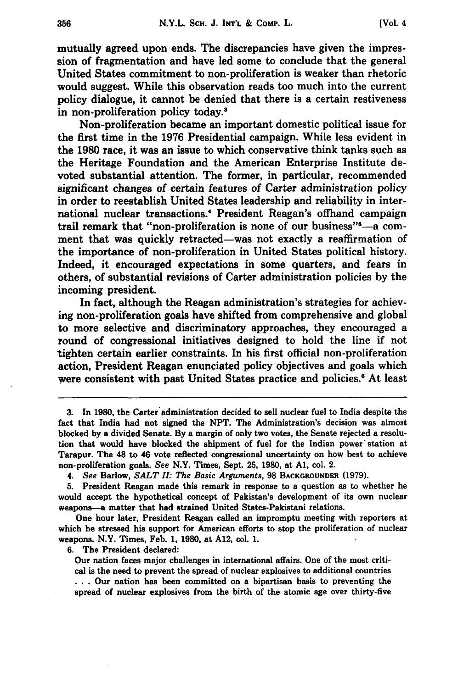mutually agreed upon ends. The discrepancies have given the impression of fragmentation and have led some to conclude that the general United States commitment to non-proliferation is weaker than rhetoric would suggest. While this observation reads too much into the current policy dialogue, it cannot be denied that there is a certain restiveness in non-proliferation policy today.8

Non-proliferation became an important domestic political issue for the first time in the **1976** Presidential campaign. While less evident in the **1980** race, it was an issue to which conservative think tanks such as the Heritage Foundation and the American Enterprise Institute devoted substantial attention. The former, in particular, recommended significant changes of certain features of Carter administration policy in order to reestablish United States leadership and reliability in international nuclear transactions.4 President Reagan's offhand campaign trail remark that "non-proliferation is none of our business"—a comment that was quickly retracted—was not exactly a reaffirmation of the importance of non-proliferation in United States political history. Indeed, it encouraged expectations in some quarters, and fears in others, of substantial revisions of Carter administration policies **by** the incoming president.

In fact, although the Reagan administration's strategies for achieving non-proliferation goals have shifted from comprehensive and global to more selective and discriminatory approaches, they encouraged a round of congressional initiatives designed to hold the line if not tighten certain earlier constraints. In his first official non-proliferation action, President Reagan enunciated policy objectives and goals which were consistent with past United States practice and policies.<sup>6</sup> At least

One hour later, President Reagan called an impromptu meeting with reporters at which he stressed his support for American efforts to stop the proliferation of nuclear weapons. N.Y. Times, Feb. **1, 1980,** at **A12,** col. **1.**

**6.** The President declared:

Our nation faces major challenges in international affairs. One of the most critical is the need to prevent the spread of nuclear explosives to additional countries **...** Our nation has been committed on a bipartisan basis to preventing the spread of nuclear explosives from the birth of the atomic age over thirty-five

**<sup>3.</sup>** In **1980,** the Carter administration decided to sell nuclear fuel to India despite the fact that India had not signed the **NPT.** The Administration's decision was almost blocked **by** a divided Senate. **By** a margin of only two votes, the Senate rejected a resolution that would have blocked the shipment of fuel for the Indian power station at Tarapur. The 48 to 46 vote reflected congressional uncertainty on how best to achieve non-proliferation goals. *See* N.Y. Times, Sept. **25, 1980,** at **Al,** col. 2.

<sup>4.</sup> *See* Barlow, *SALT II: The Basic Arguments,* **98 BACKGROUNDER (1979).**

**<sup>5.</sup>** President Reagan made this remark in response to a question as to whether he would accept the hypothetical concept of Pakistan's development of its own nuclear weapons-a matter that had strained United States-Pakistani relations.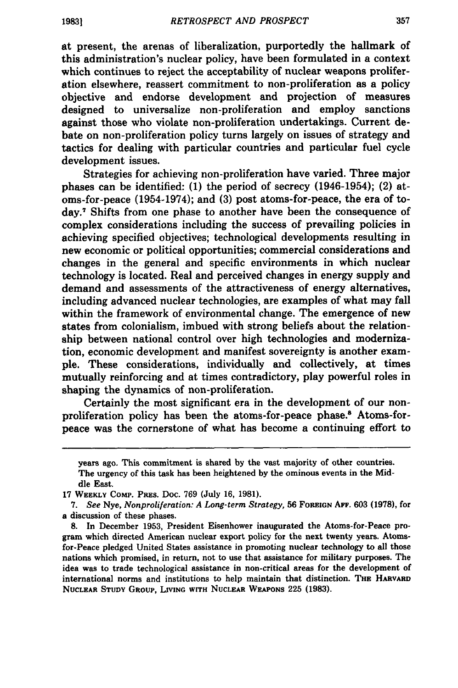at present, the arenas of liberalization, purportedly the hallmark of this administration's nuclear policy, have been formulated in a context which continues to reject the acceptability of nuclear weapons proliferation elsewhere, reassert commitment to non-proliferation as a policy objective and endorse development and projection of measures designed to universalize non-proliferation and employ sanctions against those who violate non-proliferation undertakings. Current debate on non-proliferation policy turns largely on issues of strategy and tactics for dealing with particular countries and particular fuel cycle development issues.

Strategies for achieving non-proliferation have varied. Three major phases can be identified: (1) the period of secrecy (1946-1954); (2) atoms-for-peace (1954-1974); and **(3)** post atoms-for-peace, the era of today. 7 Shifts from one phase to another have been the consequence of complex considerations including the success of prevailing policies in achieving specified objectives; technological developments resulting in new economic or political opportunities; commercial considerations and changes in the general and specific environments in which nuclear technology is located. Real and perceived changes in energy supply and demand and assessments of the attractiveness of energy alternatives, including advanced nuclear technologies, are examples of what may fall within the framework of environmental change. The emergence of new states from colonialism, imbued with strong beliefs about the relationship between national control over high technologies and modernization, economic development and manifest sovereignty is another example. These considerations, individually and collectively, at times mutually reinforcing and at times contradictory, play powerful roles in shaping the dynamics of non-proliferation.

Certainly the most significant era in the development of our nonproliferation policy has been the atoms-for-peace phase.8 Atoms-forpeace was the cornerstone of what has become a continuing effort to

years ago. This commitment is shared by the vast majority of other countries. The urgency of this task has been heightened by the ominous events in the Middle East.

<sup>17</sup> WEEKLY COMP. **PRES.** Doc. **769** (July **16, 1981).**

<sup>7.</sup> *See* Nye, *Nonproliferation: A Long-term Strategy,* **56** FOREIGN AFF. **603 (1978),** for a discussion of these phases.

**<sup>8.</sup>** In December **1953,** President Eisenhower inaugurated the Atoms-for-Peace program which directed American nuclear export policy for the next twenty years. Atomsfor-Peace pledged United States assistance in promoting nuclear technology to all those nations which promised, in return, not to use that assistance for military purposes. The idea was to trade technological assistance in non-critical areas for the development of international norms and institutions to help maintain that distinction. **THE HARVARD NUCLEAR STUDY GROUP, LIVING WITH NUCLEAR WEAPONS 225 (1983).**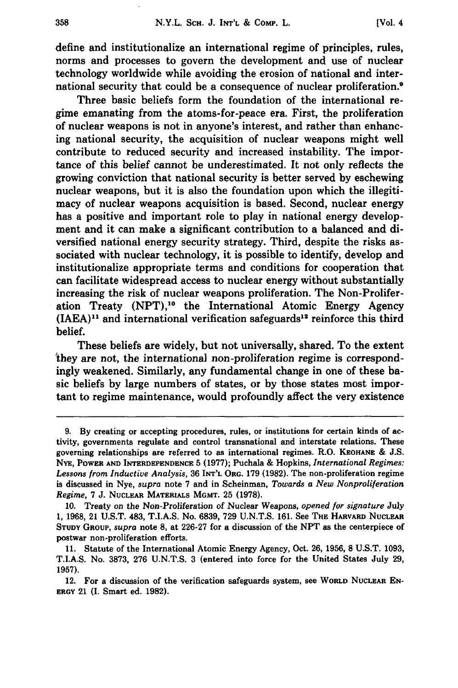define and institutionalize an international regime of principles, rules, norms and processes to govern the development and use of nuclear technology worldwide while avoiding the erosion of national and international security that could be a consequence of nuclear proliferation.<sup>9</sup>

Three basic beliefs form the foundation of the international regime emanating from the atoms-for-peace era. First, the proliferation of nuclear weapons is not in anyone's interest, and rather than enhancing national security, the acquisition of nuclear weapons might well contribute to reduced security and increased instability. The importance of this belief cannot be underestimated. It not only reflects the growing conviction that national security is better served **by** eschewing nuclear weapons, but it is also the foundation upon which the illegitimacy of nuclear weapons acquisition is based. Second, nuclear energy has a positive and important role to play in national energy development and it can make a significant contribution to a balanced and diversified national energy security strategy. Third, despite the risks associated with nuclear technology, it is possible to identify, develop and institutionalize appropriate terms and conditions for cooperation that can facilitate widespread access to nuclear energy without substantially increasing the risk of nuclear weapons proliferation. The Non-Proliferation Treaty (NPT),<sup>10</sup> the International Atomic Energy Agency  $(IAEA)^{11}$  and international verification safeguards<sup>12</sup> reinforce this third belief.

These beliefs are widely, but not universally, shared. To the extent 'they are not, the international non-proliferation regime is correspondingly weakened. Similarly, any fundamental change in one of these basic beliefs **by** large numbers of states, or **by** those states most important to regime maintenance, would profoundly affect the very existence

**<sup>9.</sup> By** creating or accepting procedures, rules, or institutions for certain kinds of activity, governments regulate and control transnational and interstate relations. These governing relationships are referred to as international regimes. R.O. **KEOHANE & J.S. NYE, POWER AND INTERDEPENDENCE 5 (1977);** Puchala **&** Hopkins, *International Regimes: Lessons from Inductive Analysis,* **36 INT'L ORG. 179 (1982). The non-proliferation regime** is discussed in Nye, *supra* note **7** and in Scheinman, *Towards a New Nonproliferation Regime,* **7 J. NUCLEAR MATERIALS MGMT. 25 (1978).**

**<sup>10.</sup>** Treaty on the Non-Proliferation of Nuclear **Weapons,** *opened for signature* **July 1, 1968,** 21 **U.S.T.** 483, **T.I.A.S.** No. **6839, 729 U.N.T.S. 161.** See **THE HARVARD NUCLEAR STUDY GROUP,** *supra* **note 8,** at **226-27** for a discussion of the **NPT** as the centerpiece of postwar non-proliferation efforts.

**<sup>11.</sup>** Statute of the International Atomic Energy Agency, Oct. **26, 1956, 8 U.S.T. 1093, T.I.A.S.** No. **3873, 276 U.N.T.S. 3** (entered into force for the United States July **29, 1957).**

<sup>12.</sup> For a discussion of the verification safeguards system, see **WORLD NUCLEAR EN-**ERGY 21 **(I.** Smart ed. **1982).**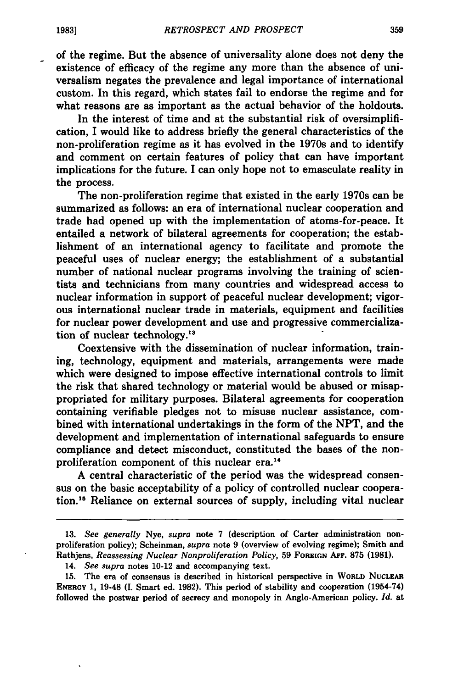$\overline{a}$ 

of the regime. But the absence of universality alone does not deny the existence of efficacy of the regime any more than the absence of universalism negates the prevalence and legal importance of international custom. In this regard, which states fail to endorse the regime and for what reasons are as important as the actual behavior of the holdouts.

In the interest of time and at the substantial risk of oversimplification, I would like to address briefly the general characteristics of the non-proliferation regime as it has evolved in the 1970s and to identify and comment on certain features of policy that can have important implications for the future. **I** can only hope not to emasculate reality in the process.

The non-proliferation regime that existed in the early 1970s can be summarized as follows: an era of international nuclear cooperation and trade had opened up with the implementation of atoms-for-peace. It entailed a network of bilateral agreements for cooperation; the establishment of an international agency to facilitate and promote the peaceful uses of nuclear energy; the establishment of a substantial number of national nuclear programs involving the training of scientists and technicians from many countries and widespread access to nuclear information in support of peaceful nuclear development; vigorous international nuclear trade in materials, equipment and facilities for nuclear power development and use and progressive commercialization of nuclear technology.<sup>11</sup>

Coextensive with the dissemination of nuclear information, training, technology, equipment and materials, arrangements were made which were designed to impose effective international controls to limit the risk that shared technology or material would be abused or misappropriated for military purposes. Bilateral agreements for cooperation containing verifiable pledges not to misuse nuclear assistance, combined with international undertakings in the form of the **NPT,** and the development and implementation of international safeguards to ensure compliance and detect misconduct, constituted the bases of the nonproliferation component of this nuclear era.<sup>14</sup>

**A** central characteristic of the period was the widespread consensus on the basic acceptability of a policy of controlled nuclear cooperation."s Reliance on external sources of supply, including vital nuclear

**<sup>13.</sup>** *See generally* Nye, *supra* note **7** (description of Carter administration nonproliferation policy); Scheinman, *supra* note **9** (overview of evolving regime); Smith and Rathjens, *Reassessing Nuclear Nonproliferation Policy,* **59 FOREiGN AFF. 875 (1981).**

<sup>14.</sup> *See supra* notes 10-12 and accompanying text.

**<sup>15.</sup>** The era of consensus is described in historical perspective in **WORLD NUCLEAR ENERGY 1,** 19-48 **(I.** Smart ed. **1982).** This period of stability and cooperation (1954-74) followed the postwar period of secrecy and monopoly in Anglo-American policy. *Id.* at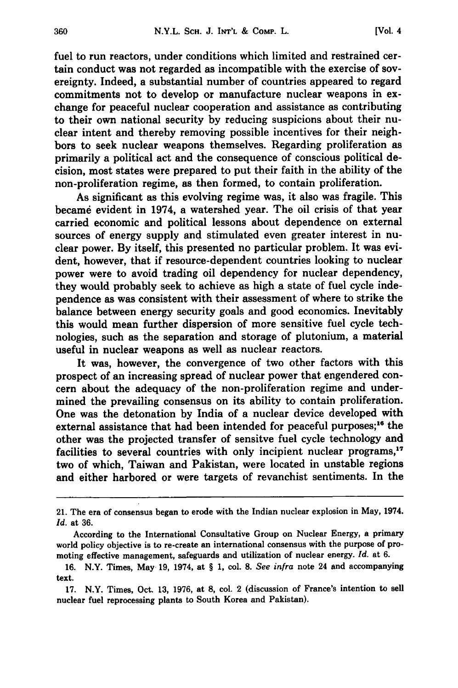fuel to run reactors, under conditions which limited and restrained certain conduct was not regarded as incompatible with the exercise of sovereignty. Indeed, a substantial number of countries appeared to regard commitments not to develop or manufacture nuclear weapons in exchange for peaceful nuclear cooperation and assistance as contributing to their own national security **by** reducing suspicions about their nuclear intent and thereby removing possible incentives for their neighbors to seek nuclear weapons themselves. Regarding proliferation as primarily a political act and the consequence of conscious political decision, most states were prepared to put their faith in the ability of the non-proliferation regime, as then formed, to contain proliferation.

As significant as this evolving regime was, it also was fragile. This became evident in 1974, a watershed year. The oil crisis of that year carried economic and political lessons about dependence on external sources of energy supply and stimulated even greater interest in nuclear power. **By** itself, this presented no particular problem. It was evident, however, that if resource-dependent countries looking to nuclear power were to avoid trading oil dependency for nuclear dependency, they would probably seek to achieve as high a state of fuel cycle independence as was consistent with their assessment of where to strike the balance between energy security goals and good economics. Inevitably this would mean further dispersion of more sensitive fuel cycle technologies, such as the separation and storage of plutonium, a material useful in nuclear weapons as well as nuclear reactors.

It was, however, the convergence of two other factors with this prospect of an increasing spread of nuclear power that engendered concern about the adequacy of the non-proliferation regime and undermined the prevailing consensus on its ability to contain proliferation. One was the detonation by India of a nuclear device developed with external assistance that had been intended for peaceful purposes;<sup>16</sup> the other was the projected transfer of sensitve fuel cycle technology and facilities to several countries with only incipient nuclear programs,<sup>1</sup> two of which, Taiwan and Pakistan, were located in unstable regions and either harbored or were targets of revanchist sentiments. In the

<sup>21.</sup> The era of consensus began to erode with the Indian nuclear explosion in May, 1974. *Id.* at **36.**

According to the International Consultative Group on Nuclear Energy, a primary world policy objective is to re-create an international consensus with the purpose of promoting effective management, safeguards and utilization of nuclear energy. *Id.* at **6.**

**<sup>16.</sup>** N.Y. Times, May **19,** 1974, at § **1,** col. **8.** *See infra* note 24 and accompanying text.

**<sup>17.</sup>** N.Y. Times, Oct. **13, 1976,** at **8,** col. 2 (discussion of France's intention to sell nuclear fuel reprocessing plants to South Korea and Pakistan).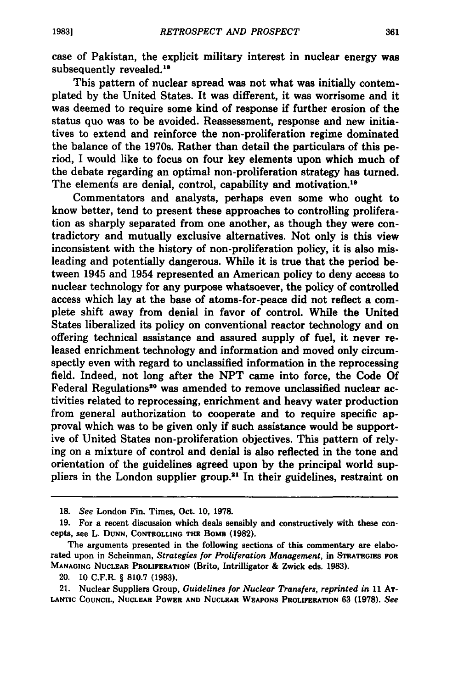case of Pakistan, the explicit military interest in nuclear energy was subsequently revealed.<sup>18</sup>

This pattern of nuclear spread was not what was initially contemplated **by** the United States. It was different, it was worrisome and it was deemed to require some kind of response if further erosion of the status quo was to be avoided. Reassessment, response and new initiatives to extend and reinforce the non-proliferation regime dominated the balance of the 1970s. Rather than detail the particulars of this period, I would like to focus on four key elements upon which much of the debate regarding an optimal non-proliferation strategy has turned. The elements are denial, control, capability and motivation.<sup>19</sup>

Commentators and analysts, perhaps even some who ought to know better, tend to present these approaches to controlling proliferation as sharply separated from one another, as though they were contradictory and mutually exclusive alternatives. Not only is this view inconsistent with the history of non-proliferation policy, it is also misleading and potentially dangerous. While it is true that the period between 1945 and 1954 represented an American policy to deny access to nuclear technology for any purpose whatsoever, the policy of controlled access which lay at the base of atoms-for-peace did not reflect a complete shift away from denial in favor of control. While the United States liberalized its policy on conventional reactor technology and on offering technical assistance and assured supply of fuel, it never released enrichment technology and information and moved only circumspectly even with regard to unclassified information in the reprocessing field. Indeed, not long after the **NPT** came into force, the Code **Of** Federal Regulations<sup>20</sup> was amended to remove unclassified nuclear activities related to reprocessing, enrichment and heavy water production from general authorization to cooperate and to require specific approval which was to be given only if such assistance would be supportive of United States non-proliferation objectives. This pattern of relying on a mixture of control and denial is also reflected in the tone and orientation of the guidelines agreed upon **by** the principal world suppliers in the London supplier group.<sup>21</sup> In their guidelines, restraint on

**<sup>18.</sup>** *See* London Fin. Times, Oct. **10, 1978.**

**<sup>19.</sup>** For a recent discussion which deals sensibly and constructively with these concepts, see L. **DUNN, CONTROLLING THE** BoMB **(1982).**

The arguments presented in the following sections of this commentary are elaborated upon in Scheinman, *Strategies for Proliferation Management,* in **STRATEGIES FOR MANAGING NUCLEAR PROLIFERATION** (Brito, Intrilligator **&** Zwick eds. **1983).**

<sup>20.</sup> **10** C.F.R. § **810.7 (1983).**

<sup>21.</sup> Nuclear Suppliers Group, *Guidelines for Nuclear Transfers, reprinted in* **11 AT-LANTIC COUNCIL, NUCLEAR POWER AND NUCLEAR WEAPONS PROLIFERATION 63 (1978).** *See*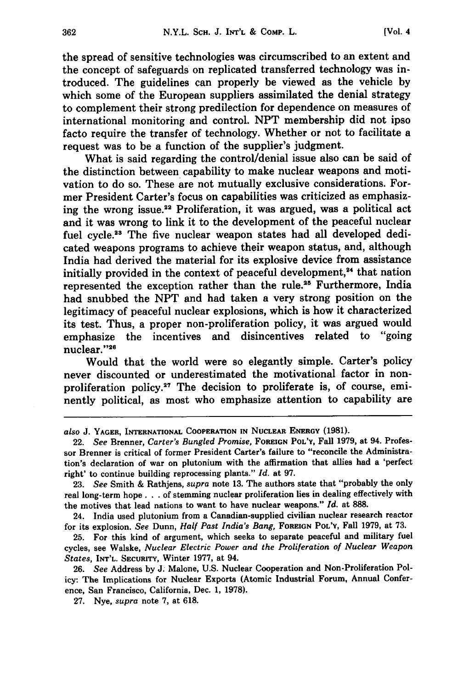the spread of sensitive technologies was circumscribed to an extent and the concept of safeguards on replicated transferred technology was introduced. The guidelines can properly be viewed as the vehicle **by** which some of the European suppliers assimilated the denial strategy to complement their strong predilection for dependence on measures of international monitoring and control. **NPT** membership did not ipso facto require the transfer of technology. Whether or not to facilitate a request was to be a function of the supplier's judgment.

What is said regarding the control/denial issue also can be said of the distinction between capability to make nuclear weapons and motivation to do so. These are not mutually exclusive considerations. Former President Carter's focus on capabilities was criticized as emphasizing the wrong issue.<sup>22</sup> Proliferation, it was argued, was a political act and it was wrong to link it to the development of the peaceful nuclear fuel cycle.<sup>23</sup> The five nuclear weapon states had all developed dedicated weapons programs to achieve their weapon status, and, although India had derived the material for its explosive device from assistance initially provided in the context of peaceful development,<sup>24</sup> that nation represented the exception rather than the rule.<sup>25</sup> Furthermore, India had snubbed the **NPT** and had taken a very strong position on the legitimacy of peaceful nuclear explosions, which is how it characterized its test. Thus, a proper non-proliferation policy, it was argued would emphasize the incentives and disincentives related to "going nuclear."26

Would that the world were so elegantly simple. Carter's policy never discounted or underestimated the motivational factor in nonproliferation **policy.<sup>27</sup>**The decision to proliferate is, of course, eminently political, as most who emphasize attention to capability are

**27.** Nye, *supra* note **7,** at **618.**

*also* **J.** YAGER, **INTERNATIONAL COOPERATION IN NUCLEAR** ENERGY **(1981).**

<sup>22.</sup> *See* Brenner, *Carter's Bungled Promise,* **FOREIGN** POL'Y, Fall **1979,** at 94. Professor Brenner is critical of former President Carter's failure to "reconcile the Administration's declaration of war on plutonium with the affirmation that allies had a 'perfect right' to continue building reprocessing plants." *Id.* at **97.**

**<sup>23.</sup>** *See* Smith & Rathjens, *supra* note **13.** The authors state that "probably the only real long-term hope. **. .** of stemming nuclear proliferation lies in dealing effectively with the motives that lead nations to want to have nuclear weapons." *Id.* at **888.**

<sup>24.</sup> India used plutonium from a Canadian-supplied civilian nuclear research reactor for its explosion. *See* Dunn, *Half Past India's Bang,* **FOREIGN POL'Y,** Fall **1979,** at **73.**

**<sup>25.</sup>** For this kind of argument, which seeks to separate peaceful and military fuel cycles, see Walske, *Nuclear Electric Power and the Proliferation of Nuclear Weapon States,* INT'L. **SECURITY,** Winter **1977,** at 94.

**<sup>26.</sup>** *See* Address **by J.** Malone, **U.S.** Nuclear Cooperation and Non-Proliferation Policy: The Implications for Nuclear Exports (Atomic Industrial Forum, Annual Conference, San Francisco, California, Dec. **1, 1978).**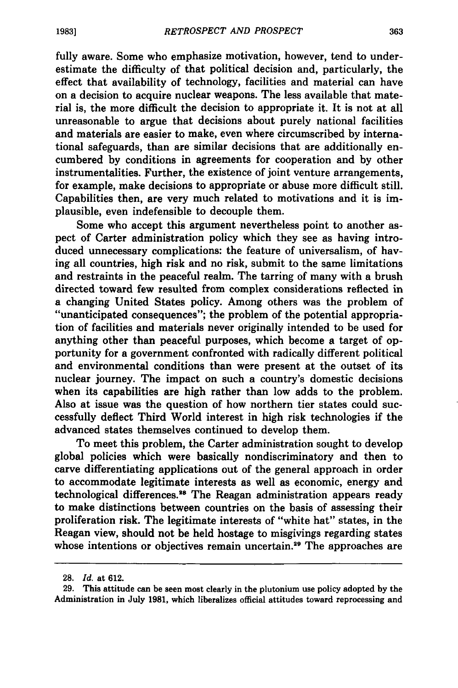fully aware. Some who emphasize motivation, however, tend to underestimate the difficulty of that political decision and, particularly, the effect that availability of technology, facilities and material can have on a decision to acquire nuclear weapons. The less available that material is, the more difficult the decision to appropriate it. It is not at all unreasonable to argue that decisions about purely national facilities and materials are easier to make, even where circumscribed **by** international safeguards, than are similar decisions that are additionally encumbered **by** conditions in agreements for cooperation and **by** other instrumentalities. Further, the existence of joint venture arrangements, for example, make decisions to appropriate or abuse more difficult still. Capabilities then, are very much related to motivations and it is implausible, even indefensible to decouple them.

Some who accept this argument nevertheless point to another aspect of Carter administration policy which they see as having introduced unnecessary complications: the feature of universalism, of having all countries, high risk and no risk, submit to the same limitations and restraints in the peaceful realm. The tarring of many with a brush directed toward few resulted from complex considerations reflected in a changing United States policy. Among others was the problem of "unanticipated consequences"; the problem of the potential appropriation of facilities and materials never originally intended to be used for anything other than peaceful purposes, which become a target of opportunity for a government confronted with radically different political and environmental conditions than were present at the outset of its nuclear journey. The impact on such a country's domestic decisions when its capabilities are high rather than low adds to the problem. Also at issue was the question of how northern tier states could successfully deflect Third World interest in high risk technologies if the advanced states themselves continued to develop them.

To meet this problem, the Carter administration sought to develop global policies which were basically nondiscriminatory and then to carve differentiating applications out of the general approach in order to accommodate legitimate interests as well as economic, energy and technological differences.<sup>28</sup> The Reagan administration appears ready to make distinctions between countries on the basis of assessing their proliferation risk. The legitimate interests of "white hat" states, in the Reagan view, should not be held hostage to misgivings regarding states whose intentions or objectives remain uncertain.<sup>29</sup> The approaches are

**<sup>28.</sup>** *Id.* at **612.**

**<sup>29.</sup>** This attitude can be seen most clearly in the plutonium use policy adopted **by** the Administration in July **1981,** which liberalizes official attitudes toward reprocessing and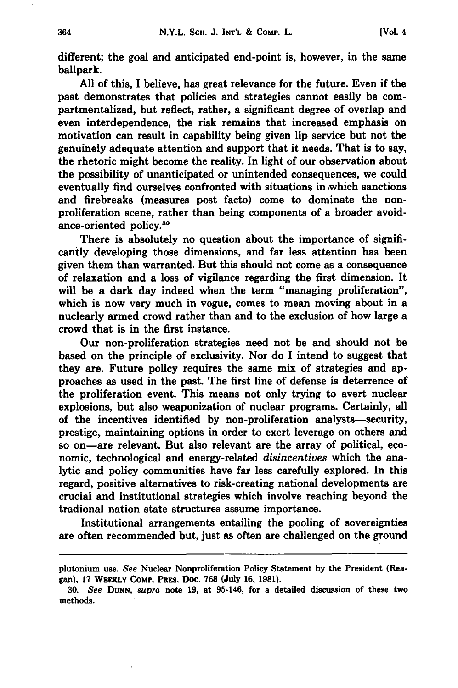different; the goal and anticipated end-point is, however, in the same ballpark.

**All** of this, I believe, has great relevance for the future. Even if the past demonstrates that policies and strategies cannot easily be compartmentalized, but reflect, rather, a significant degree of overlap and even interdependence, the risk remains that increased emphasis on motivation can result in capability being given lip service but not the genuinely adequate attention and support that it needs. That is to say, the rhetoric might become the reality. In light of our observation about the possibility of unanticipated or unintended consequences, we could eventually find ourselves confronted with situations in ,which sanctions and firebreaks (measures post facto) come to dominate the nonproliferation scene, rather than being components of a broader avoidance-oriented policy.30

There is absolutely no question about the importance of significantly developing those dimensions, and far less attention has been given them than warranted. But this should not come as a consequence of relaxation and a loss of vigilance regarding the first dimension. It will be a dark day indeed when the term "managing proliferation", which is now very much in vogue, comes to mean moving about in a nuclearly armed crowd rather than and to the exclusion of how large a crowd that is in the first instance.

Our non-proliferation strategies need not be and should not be based on the principle of exclusivity. Nor do I intend to suggest that they are. Future policy requires the same mix of strategies and approaches as used in the past. The first line of defense is deterrence of the proliferation event. This means not only trying to avert nuclear explosions, but also weaponization of nuclear programs. Certainly, all of the incentives identified **by** non-proliferation analysts-security, prestige, maintaining options in order to exert leverage on others and so on-are relevant. But also relevant are the array of political, economic, technological and energy-related *disincentives* which the analytic and policy communities have far less carefully explored. In this regard, positive alternatives to risk-creating national developments are crucial and institutional strategies which involve reaching beyond the tradional nation-state structures assume importance.

Institutional arrangements entailing the pooling of sovereignties are often recommended but, just as often are challenged on the ground

plutonium use. *See* Nuclear Nonproliferation Policy Statement **by** the President (Reagan), **17** WEEKLY Come. **PREs.** Doc. **768** (July **16, 1981).**

**<sup>30.</sup>** *See* **DUNN,** *supra* note **19,** at 95-146, for a detailed discussion of these two methods.